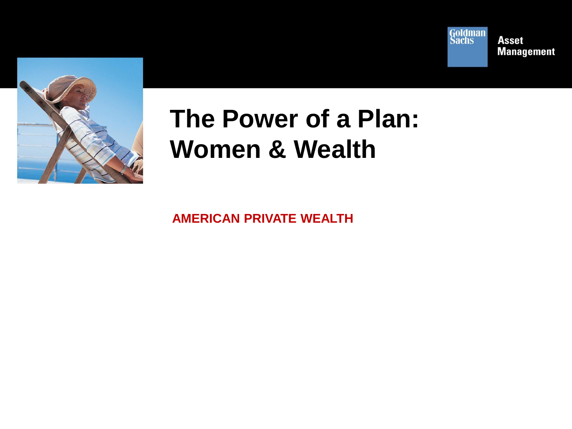



# **The Power of a Plan: Women & Wealth**

**AMERICAN PRIVATE WEALTH**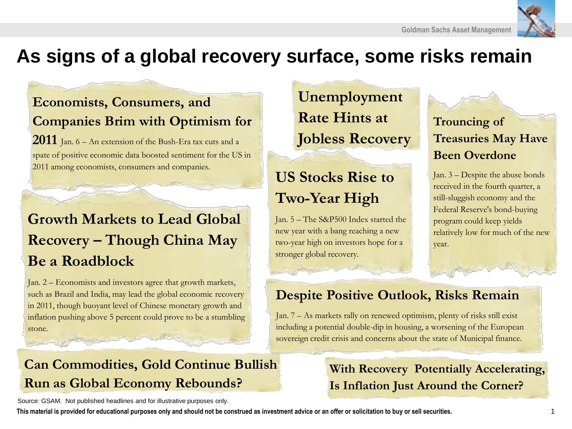

# **As signs of a global recovery surface, some risks remain**

## **Economists, Consumers, and Companies Brim with Optimism for**

**2011** Jan. 6 – An extension of the Bush-Era tax cuts and a spate of positive economic data boosted sentiment for the US in 2011 among economists, consumers and companies.

## **Growth Markets to Lead Global Recovery – Though China May Be a Roadblock**

Jan. 2 – Economists and investors agree that growth markets, such as Brazil and India, may lead the global economic recovery in 2011, though buoyant level of Chinese monetary growth and inflation pushing above 5 percent could prove to be a stumbling stone.

**Unemployment Rate Hints at Jobless Recovery**

## **US Stocks Rise to Two-Year High**

Jan. 5 – The S&P500 Index started the new year with a bang reaching a new two-year high on investors hope for a stronger global recovery.

### **Trouncing of Treasuries May Have Been Overdone**

Jan. 3 – Despite the abuse bonds received in the fourth quarter, a still-sluggish economy and the Federal Reserve's bond-buying program could keep yields relatively low for much of the new year.

### **Despite Positive Outlook, Risks Remain**

Jan. 7 – As markets rally on renewed optimism, plenty of risks still exist including a potential double-dip in housing, a worsening of the European sovereign credit crisis and concerns about the state of Municipal finance.

**With Recovery Potentially Accelerating,** 

**Is Inflation Just Around the Corner?** 

## **Can Commodities, Gold Continue Bullish Run as Global Economy Rebounds?**

Source: GSAM. Not published headlines and for illustrative purposes only.

**This material is provided for educational purposes only and should not be construed as investment advice or an offer or solicitation to buy or sell securities.** 1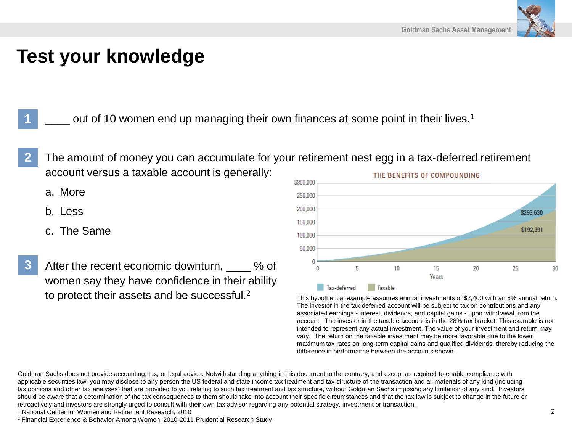

## **Test your knowledge**

out of 10 women end up managing their own finances at some point in their lives.<sup>1</sup>

- **2** The amount of money you can accumulate for your retirement nest egg in a tax-deferred retirement account versus a taxable account is generally: THE BENEFITS OF COMPOUNDING
	- a. More

**1**

- b. Less
- c. The Same
- **3** After the recent economic downturn,  $\frac{1}{2}$  % of women say they have confidence in their ability to protect their assets and be successful.<sup>2</sup>



This hypothetical example assumes annual investments of \$2,400 with an 8% annual return. The investor in the tax-deferred account will be subject to tax on contributions and any associated earnings - interest, dividends, and capital gains - upon withdrawal from the account The investor in the taxable account is in the 28% tax bracket. This example is not intended to represent any actual investment. The value of your investment and return may vary. The return on the taxable investment may be more favorable due to the lower maximum tax rates on long-term capital gains and qualified dividends, thereby reducing the difference in performance between the accounts shown.

Goldman Sachs does not provide accounting, tax, or legal advice. Notwithstanding anything in this document to the contrary, and except as required to enable compliance with applicable securities law, you may disclose to any person the US federal and state income tax treatment and tax structure of the transaction and all materials of any kind (including tax opinions and other tax analyses) that are provided to you relating to such tax treatment and tax structure, without Goldman Sachs imposing any limitation of any kind. Investors should be aware that a determination of the tax consequences to them should take into account their specific circumstances and that the tax law is subject to change in the future or retroactively and investors are strongly urged to consult with their own tax advisor regarding any potential strategy, investment or transaction.

<sup>1</sup> National Center for Women and Retirement Research, 2010

<sup>2</sup> Financial Experience & Behavior Among Women: 2010-2011 Prudential Research Study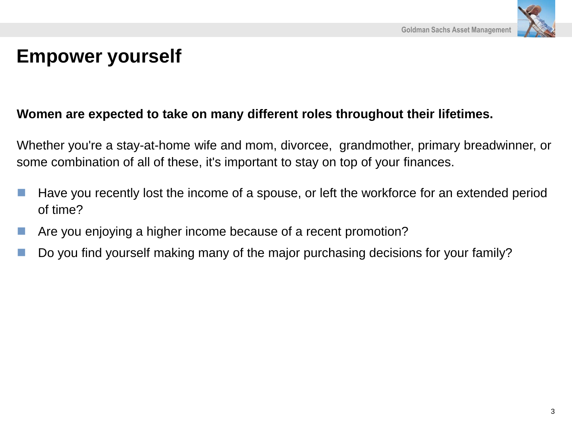

# **Empower yourself**

### **Women are expected to take on many different roles throughout their lifetimes.**

Whether you're a stay-at-home wife and mom, divorcee, grandmother, primary breadwinner, or some combination of all of these, it's important to stay on top of your finances.

- Have you recently lost the income of a spouse, or left the workforce for an extended period of time?
- Are you enjoying a higher income because of a recent promotion?
- Do you find yourself making many of the major purchasing decisions for your family?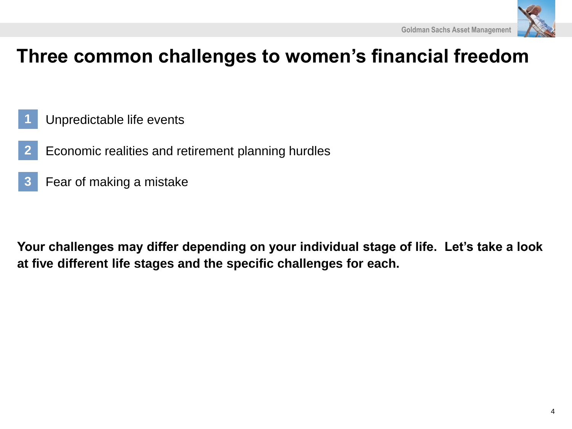

# **Three common challenges to women's financial freedom**

- Unpredictable life events **1**
- Economic realities and retirement planning hurdles **2**
- Fear of making a mistake **3**

**Your challenges may differ depending on your individual stage of life. Let's take a look at five different life stages and the specific challenges for each.**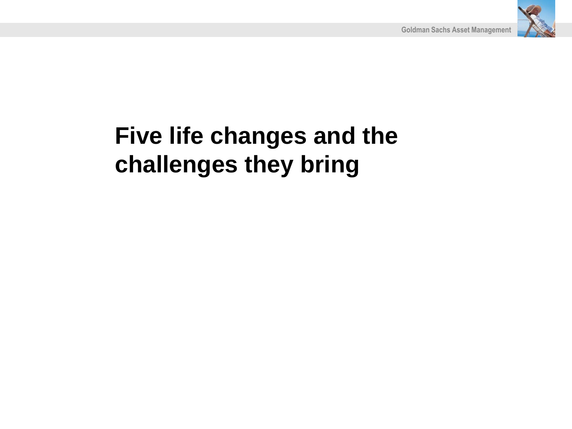

# **Five life changes and the challenges they bring**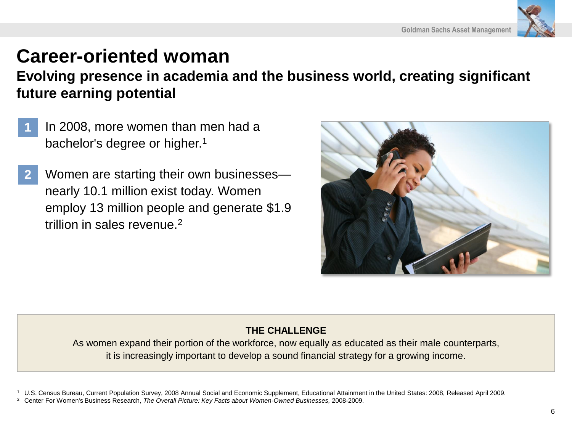

# **Career-oriented woman**

**Evolving presence in academia and the business world, creating significant future earning potential**

- In 2008, more women than men had a bachelor's degree or higher.<sup>1</sup> **1**
- Women are starting their own businesses nearly 10.1 million exist today. Women employ 13 million people and generate \$1.9 trillion in sales revenue.<sup>2</sup> **2**



### **THE CHALLENGE**

As women expand their portion of the workforce, now equally as educated as their male counterparts, it is increasingly important to develop a sound financial strategy for a growing income.

<sup>1</sup> U.S. Census Bureau, Current Population Survey, 2008 Annual Social and Economic Supplement, Educational Attainment in the United States: 2008, Released April 2009.

<sup>2</sup> Center For Women's Business Research, *The Overall Picture: Key Facts about Women-Owned Businesses,* 2008-2009.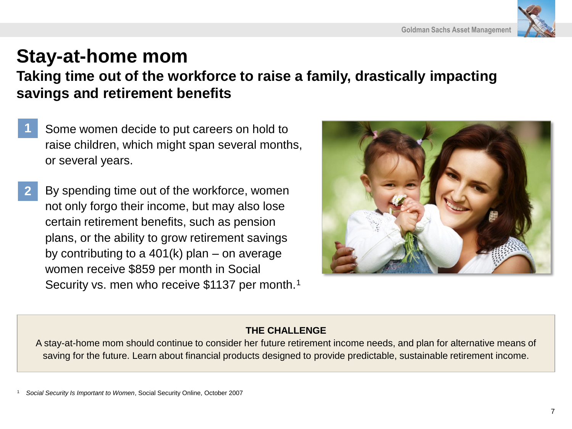

# **Stay-at-home mom**

**Taking time out of the workforce to raise a family, drastically impacting savings and retirement benefits**

- Some women decide to put careers on hold to raise children, which might span several months, or several years. **1**
- By spending time out of the workforce, women not only forgo their income, but may also lose certain retirement benefits, such as pension plans, or the ability to grow retirement savings by contributing to a 401(k) plan – on average women receive \$859 per month in Social Security vs. men who receive \$1137 per month.<sup>1</sup> **2**



### **THE CHALLENGE**

A stay-at-home mom should continue to consider her future retirement income needs, and plan for alternative means of saving for the future. Learn about financial products designed to provide predictable, sustainable retirement income.

<sup>1</sup> *Social Security Is Important to Women*, Social Security Online, October 2007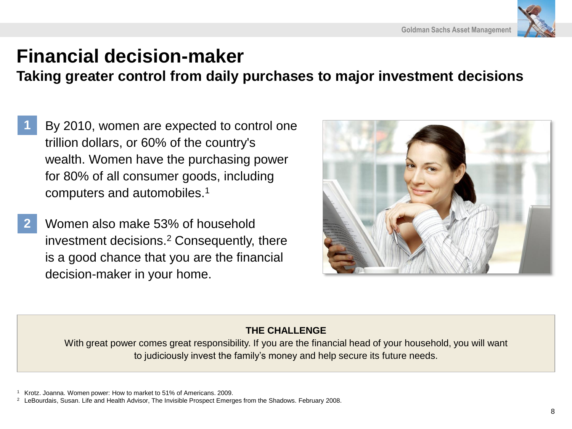

# **Financial decision-maker**

**Taking greater control from daily purchases to major investment decisions** 

- By 2010, women are expected to control one trillion dollars, or 60% of the country's wealth. Women have the purchasing power for 80% of all consumer goods, including computers and automobiles.<sup>1</sup> **1**
- Women also make 53% of household investment decisions.<sup>2</sup> Consequently, there is a good chance that you are the financial decision-maker in your home. **2**



### **THE CHALLENGE**

With great power comes great responsibility. If you are the financial head of your household, you will want to judiciously invest the family's money and help secure its future needs.

<sup>1</sup> Krotz. Joanna. Women power: How to market to 51% of Americans. 2009.

<sup>&</sup>lt;sup>2</sup> LeBourdais, Susan. Life and Health Advisor, The Invisible Prospect Emerges from the Shadows. February 2008.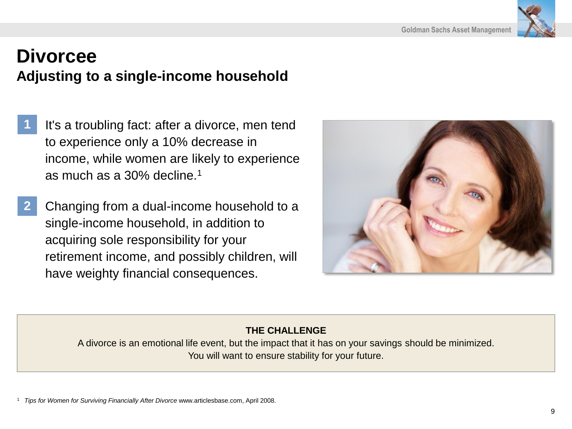

## **Divorcee**

## **Adjusting to a single-income household**

- It's a troubling fact: after a divorce, men tend to experience only a 10% decrease in income, while women are likely to experience as much as a 30% decline.<sup>1</sup> **1**
- Changing from a dual-income household to a single-income household, in addition to acquiring sole responsibility for your retirement income, and possibly children, will have weighty financial consequences. **2**



### **THE CHALLENGE**

A divorce is an emotional life event, but the impact that it has on your savings should be minimized. You will want to ensure stability for your future.

<sup>1</sup> *Tips for Women for Surviving Financially After Divorce* www.articlesbase.com, April 2008.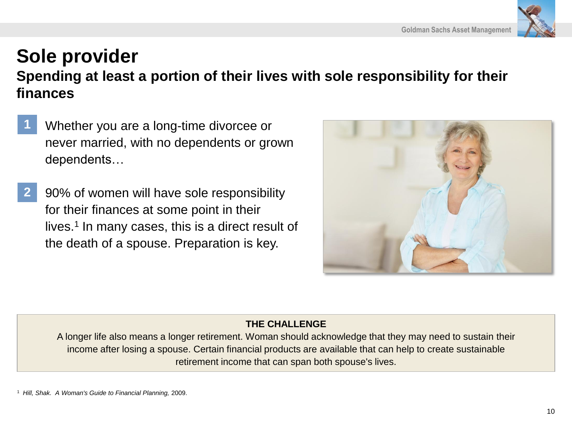### **Goldman Sachs Asset Management**

## **Sole provider Spending at least a portion of their lives with sole responsibility for their finances**

- Whether you are a long-time divorcee or never married, with no dependents or grown dependents… **1**
- 90% of women will have sole responsibility for their finances at some point in their lives.<sup>1</sup> In many cases, this is a direct result of the death of a spouse. Preparation is key. **2**



### **THE CHALLENGE**

A longer life also means a longer retirement. Woman should acknowledge that they may need to sustain their income after losing a spouse. Certain financial products are available that can help to create sustainable retirement income that can span both spouse's lives.

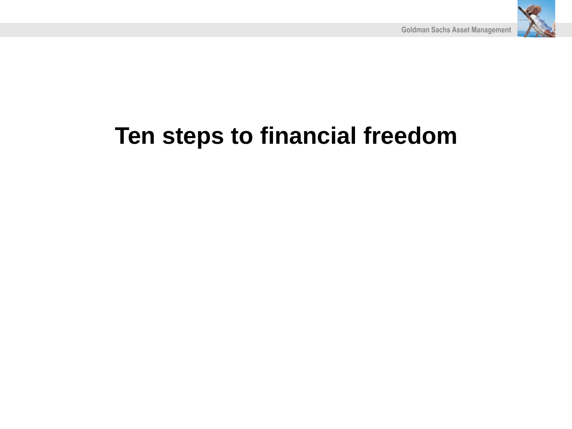

# **Ten steps to financial freedom**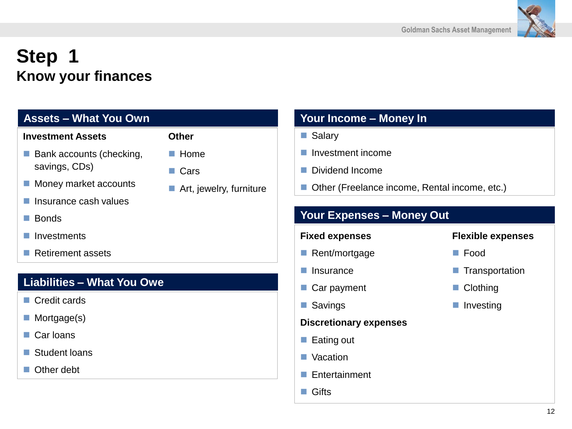

# **Step 1 Know your finances**

### **Assets – What You Own**

### **Investment Assets**

- $\blacksquare$  Bank accounts (checking, savings, CDs)
- Money market accounts
- Insurance cash values
- **Bonds**
- **Investments**
- Retirement assets

### **Liabilities – What You Owe**

- Credit cards
- **Mortgage(s)**
- Car loans
- Student loans
- Other debt

- $\blacksquare$  Home
- Cars
- Art, jewelry, furniture

### **Your Income – Money In**

- **Salary**
- **Investment income**
- Dividend Income
- Other (Freelance income, Rental income, etc.)

### **Your Expenses – Money Out**

### **Fixed expenses**

- Rent/mortgage
- **Insurance**
- Car payment
- Savings

### **Discretionary expenses**

- $\blacksquare$  Eating out
- Vacation
- **Entertainment**
- **Gifts**

### **Flexible expenses**

- Food
- **T** Transportation
- Clothing
- **Investing**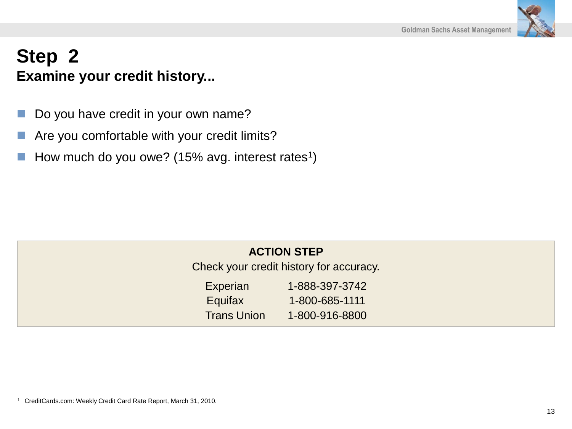

## **Step 2 Examine your credit history...**

- Do you have credit in your own name?
- Are you comfortable with your credit limits?
- $\blacksquare$  How much do you owe? (15% avg. interest rates<sup>1</sup>)

### **ACTION STEP**

Check your credit history for accuracy.

| <b>Experian</b>    | 1-888-397-3742 |
|--------------------|----------------|
| Equifax            | 1-800-685-1111 |
| <b>Trans Union</b> | 1-800-916-8800 |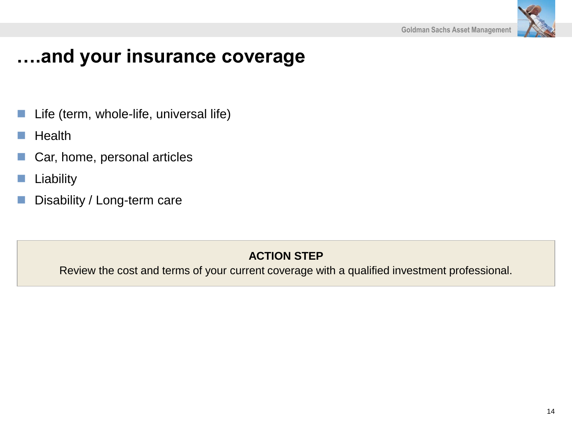

# **….and your insurance coverage**

- Life (term, whole-life, universal life)
- **Health**
- Car, home, personal articles
- Liability
- Disability / Long-term care

### **ACTION STEP**

Review the cost and terms of your current coverage with a qualified investment professional.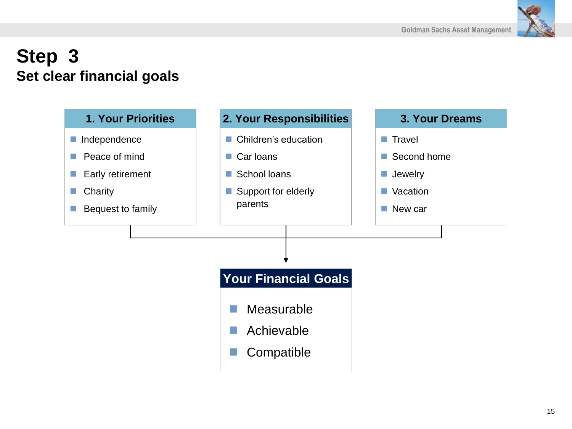

## **Step 3 Set clear financial goals**

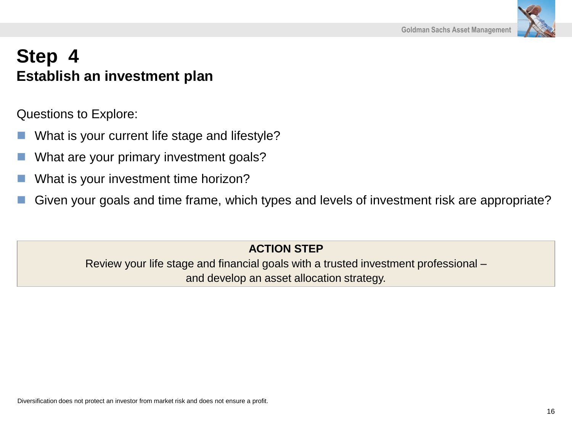

## **Step 4 Establish an investment plan**

Questions to Explore:

- What is your current life stage and lifestyle?
- What are your primary investment goals?
- What is your investment time horizon?
- Given your goals and time frame, which types and levels of investment risk are appropriate?

### **ACTION STEP**

Review your life stage and financial goals with a trusted investment professional – and develop an asset allocation strategy.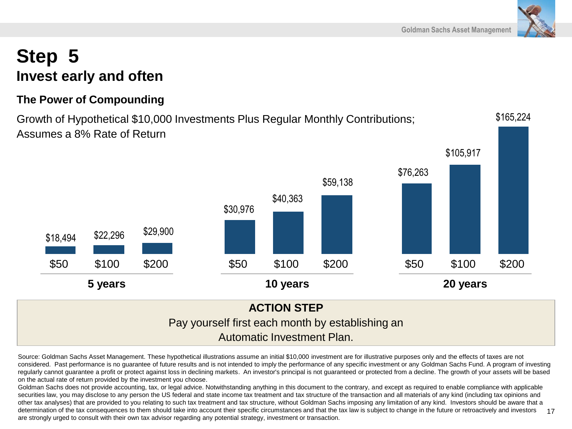\$105,917

## **Step 5 Invest early and often**

### **The Power of Compounding**

\$18,494 \$22,296 \$29,900

Growth of Hypothetical \$10,000 Investments Plus Regular Monthly Contributions; Assumes a 8% Rate of Return

\$30,976

Source: Goldman Sachs Asset Management. These hypothetical illustrations assume an initial \$10,000 investment are for illustrative purposes only and the effects of taxes are not considered. Past performance is no guarantee of future results and is not intended to imply the performance of any specific investment or any Goldman Sachs Fund. A program of investing regularly cannot guarantee a profit or protect against loss in declining markets. An investor's principal is not guaranteed or protected from a decline. The growth of your assets will be based on the actual rate of return provided by the investment you choose.

Automatic Investment Plan.

Goldman Sachs does not provide accounting, tax, or legal advice. Notwithstanding anything in this document to the contrary, and except as required to enable compliance with applicable securities law, you may disclose to any person the US federal and state income tax treatment and tax structure of the transaction and all materials of any kind (including tax opinions and other tax analyses) that are provided to you relating to such tax treatment and tax structure, without Goldman Sachs imposing any limitation of any kind. Investors should be aware that a determination of the tax consequences to them should take into account their specific circumstances and that the tax law is subject to change in the future or retroactively and investors are strongly urged to consult with their own tax advisor regarding any potential strategy, investment or transaction.







\$165,224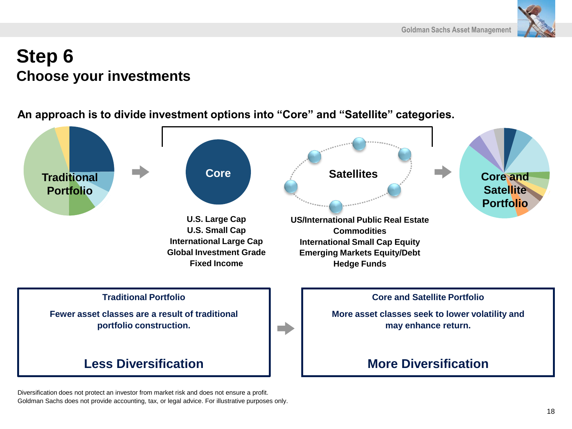

## **Step 6 Choose your investments**

**An approach is to divide investment options into "Core" and "Satellite" categories.** 



Diversification does not protect an investor from market risk and does not ensure a profit. Goldman Sachs does not provide accounting, tax, or legal advice. For illustrative purposes only.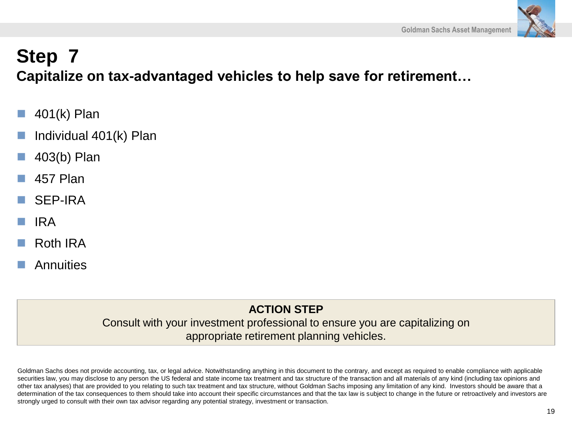

## **Step 7 Capitalize on tax-advantaged vehicles to help save for retirement…**

- 401(k) Plan
- Individual 401(k) Plan
- 403(b) Plan
- 457 Plan
- SEP-IRA
- IRA
- Roth IRA
- **Annuities**

### **ACTION STEP**

Consult with your investment professional to ensure you are capitalizing on appropriate retirement planning vehicles.

Goldman Sachs does not provide accounting, tax, or legal advice. Notwithstanding anything in this document to the contrary, and except as required to enable compliance with applicable securities law, you may disclose to any person the US federal and state income tax treatment and tax structure of the transaction and all materials of any kind (including tax opinions and other tax analyses) that are provided to you relating to such tax treatment and tax structure, without Goldman Sachs imposing any limitation of any kind. Investors should be aware that a determination of the tax consequences to them should take into account their specific circumstances and that the tax law is subject to change in the future or retroactively and investors are strongly urged to consult with their own tax advisor regarding any potential strategy, investment or transaction.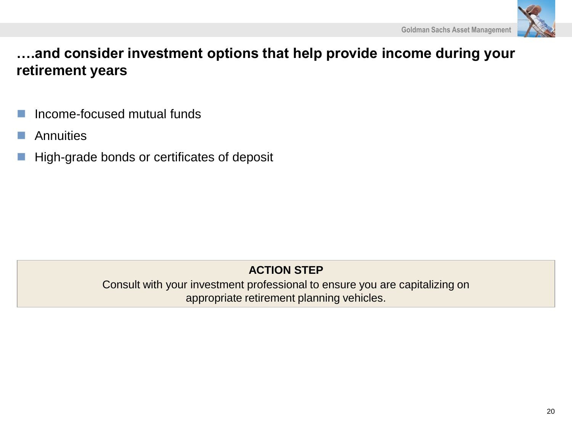

**….and consider investment options that help provide income during your retirement years**

- Income-focused mutual funds
- **Annuities**
- High-grade bonds or certificates of deposit

### **ACTION STEP**

Consult with your investment professional to ensure you are capitalizing on appropriate retirement planning vehicles.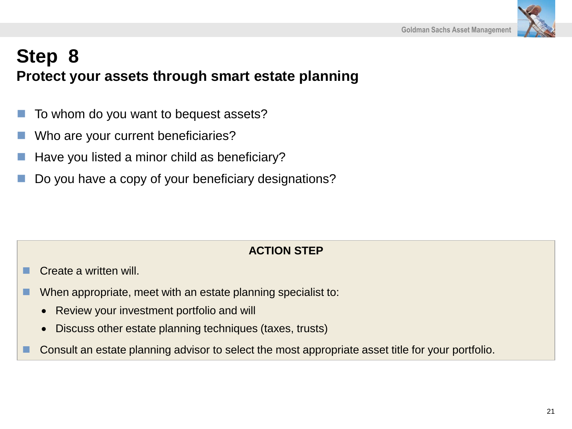

# **Step 8 Protect your assets through smart estate planning**

- To whom do you want to bequest assets?
- Who are your current beneficiaries?
- Have you listed a minor child as beneficiary?
- Do you have a copy of your beneficiary designations?

### **ACTION STEP**

- Create a written will.
- When appropriate, meet with an estate planning specialist to:
	- Review your investment portfolio and will
	- Discuss other estate planning techniques (taxes, trusts)
- Consult an estate planning advisor to select the most appropriate asset title for your portfolio.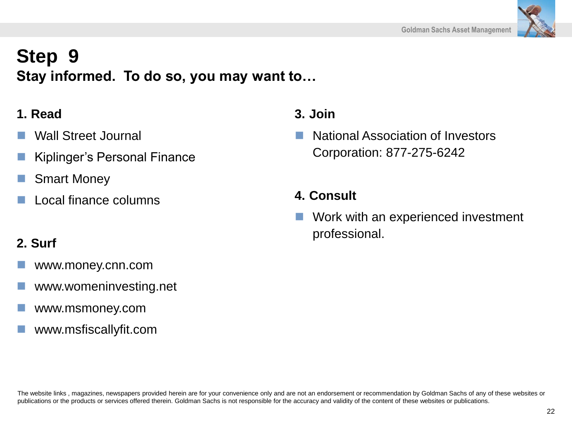## **Step 9 Stay informed. To do so, you may want to…**

### **1. Read**

- Wall Street Journal
- Kiplinger's Personal Finance
- Smart Money
- Local finance columns

### **2. Surf**

- www.money.cnn.com
- www.womeninvesting.net
- www.msmoney.com
- www.msfiscallyfit.com

### **3. Join**

 National Association of Investors Corporation: 877-275-6242

### **4. Consult**

 Work with an experienced investment professional.

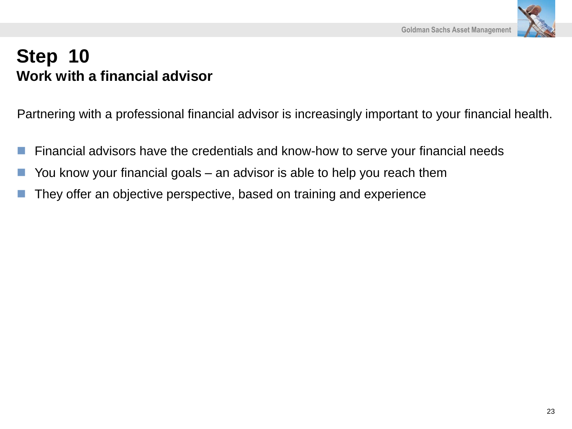

## **Step 10 Work with a financial advisor**

Partnering with a professional financial advisor is increasingly important to your financial health.

- Financial advisors have the credentials and know-how to serve your financial needs
- You know your financial goals an advisor is able to help you reach them
- They offer an objective perspective, based on training and experience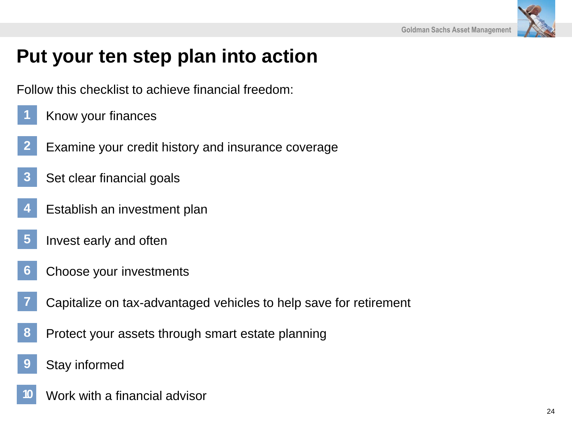

# **Put your ten step plan into action**

Follow this checklist to achieve financial freedom:

- Know your finances **1**
- Examine your credit history and insurance coverage **2**
- Set clear financial goals **3**
- Establish an investment plan **4**
- Invest early and often **5**
- Choose your investments **6**
- Capitalize on tax-advantaged vehicles to help save for retirement **7**
- Protect your assets through smart estate planning **8**
- Stay informed **9**
- Work with a financial advisor **10**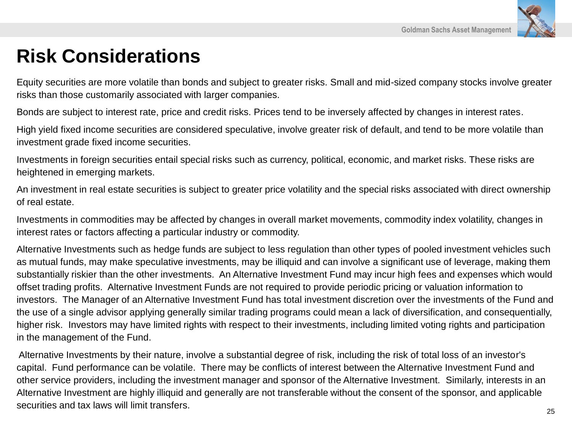

# **Risk Considerations**

Equity securities are more volatile than bonds and subject to greater risks. Small and mid-sized company stocks involve greater risks than those customarily associated with larger companies.

Bonds are subject to interest rate, price and credit risks. Prices tend to be inversely affected by changes in interest rates.

High yield fixed income securities are considered speculative, involve greater risk of default, and tend to be more volatile than investment grade fixed income securities.

Investments in foreign securities entail special risks such as currency, political, economic, and market risks. These risks are heightened in emerging markets.

An investment in real estate securities is subject to greater price volatility and the special risks associated with direct ownership of real estate.

Investments in commodities may be affected by changes in overall market movements, commodity index volatility, changes in interest rates or factors affecting a particular industry or commodity.

Alternative Investments such as hedge funds are subject to less regulation than other types of pooled investment vehicles such as mutual funds, may make speculative investments, may be illiquid and can involve a significant use of leverage, making them substantially riskier than the other investments. An Alternative Investment Fund may incur high fees and expenses which would offset trading profits. Alternative Investment Funds are not required to provide periodic pricing or valuation information to investors. The Manager of an Alternative Investment Fund has total investment discretion over the investments of the Fund and the use of a single advisor applying generally similar trading programs could mean a lack of diversification, and consequentially, higher risk. Investors may have limited rights with respect to their investments, including limited voting rights and participation in the management of the Fund.

Alternative Investments by their nature, involve a substantial degree of risk, including the risk of total loss of an investor's capital. Fund performance can be volatile. There may be conflicts of interest between the Alternative Investment Fund and other service providers, including the investment manager and sponsor of the Alternative Investment. Similarly, interests in an Alternative Investment are highly illiquid and generally are not transferable without the consent of the sponsor, and applicable securities and tax laws will limit transfers.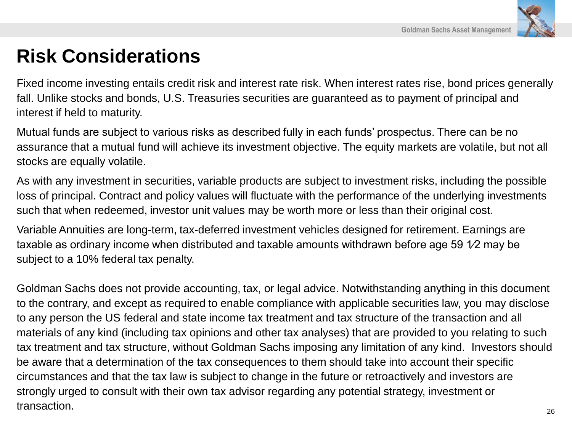

# **Risk Considerations**

Fixed income investing entails credit risk and interest rate risk. When interest rates rise, bond prices generally fall. Unlike stocks and bonds, U.S. Treasuries securities are guaranteed as to payment of principal and interest if held to maturity.

Mutual funds are subject to various risks as described fully in each funds' prospectus. There can be no assurance that a mutual fund will achieve its investment objective. The equity markets are volatile, but not all stocks are equally volatile.

As with any investment in securities, variable products are subject to investment risks, including the possible loss of principal. Contract and policy values will fluctuate with the performance of the underlying investments such that when redeemed, investor unit values may be worth more or less than their original cost.

Variable Annuities are long-term, tax-deferred investment vehicles designed for retirement. Earnings are taxable as ordinary income when distributed and taxable amounts withdrawn before age 59 1⁄2 may be subject to a 10% federal tax penalty.

Goldman Sachs does not provide accounting, tax, or legal advice. Notwithstanding anything in this document to the contrary, and except as required to enable compliance with applicable securities law, you may disclose to any person the US federal and state income tax treatment and tax structure of the transaction and all materials of any kind (including tax opinions and other tax analyses) that are provided to you relating to such tax treatment and tax structure, without Goldman Sachs imposing any limitation of any kind. Investors should be aware that a determination of the tax consequences to them should take into account their specific circumstances and that the tax law is subject to change in the future or retroactively and investors are strongly urged to consult with their own tax advisor regarding any potential strategy, investment or transaction. And the contraction of the contraction of the contraction of the contraction of the contraction of  $\frac{26}{2}$